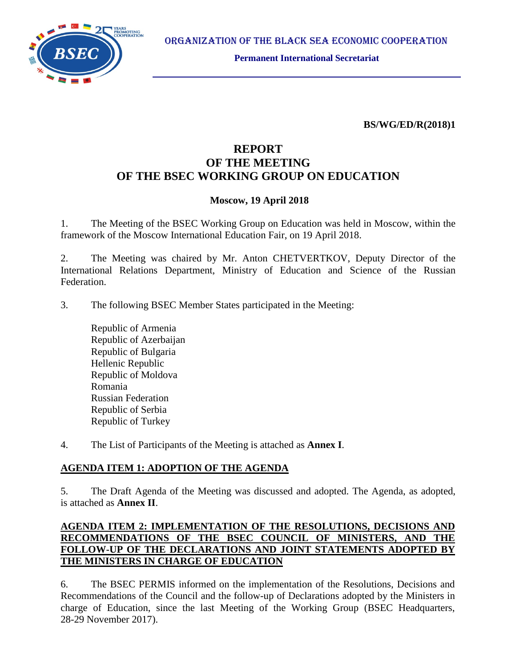

ORGANIZATION OF THE BLACK SEA ECONOMIC COOPERATION

**Permanent International Secretariat**

**BS/WG/ED/R(2018)1**

# **REPORT OF THE MEETING OF THE BSEC WORKING GROUP ON EDUCATION**

### **Moscow, 19 April 2018**

1. The Meeting of the BSEC Working Group on Education was held in Moscow, within the framework of the Moscow International Education Fair, on 19 April 2018.

2. The Meeting was chaired by Mr. Anton CHETVERTKOV, Deputy Director of the International Relations Department, Ministry of Education and Science of the Russian Federation.

3. The following BSEC Member States participated in the Meeting:

Republic of Armenia Republic of Azerbaijan Republic of Bulgaria Hellenic Republic Republic of Moldova Romania Russian Federation Republic of Serbia Republic of Turkey

4. The List of Participants of the Meeting is attached as **Annex I**.

### **AGENDA ITEM 1: ADOPTION OF THE AGENDA**

5. The Draft Agenda of the Meeting was discussed and adopted. The Agenda, as adopted, is attached as **Annex II**.

## **AGENDA ITEM 2: IMPLEMENTATION OF THE RESOLUTIONS, DECISIONS AND RECOMMENDATIONS OF THE BSEC COUNCIL OF MINISTERS, AND THE FOLLOW-UP OF THE DECLARATIONS AND JOINT STATEMENTS ADOPTED BY THE MINISTERS IN CHARGE OF EDUCATION**

6. The BSEC PERMIS informed on the implementation of the Resolutions, Decisions and Recommendations of the Council and the follow-up of Declarations adopted by the Ministers in charge of Education, since the last Meeting of the Working Group (BSEC Headquarters, 28-29 November 2017).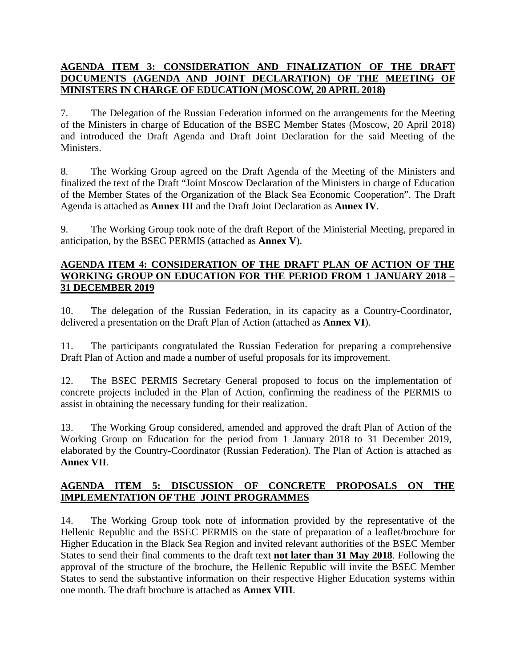## **AGENDA ITEM 3: CONSIDERATION AND FINALIZATION OF THE DRAFT DOCUMENTS (AGENDA AND JOINT DECLARATION) OF THE MEETING OF MINISTERS IN CHARGE OF EDUCATION (MOSCOW, 20 APRIL 2018)**

7. The Delegation of the Russian Federation informed on the arrangements for the Meeting of the Ministers in charge of Education of the BSEC Member States (Moscow, 20 April 2018) and introduced the Draft Agenda and Draft Joint Declaration for the said Meeting of the Ministers.

8. The Working Group agreed on the Draft Agenda of the Meeting of the Ministers and finalized the text of the Draft "Joint Moscow Declaration of the Ministers in charge of Education of the Member States of the Organization of the Black Sea Economic Cooperation". The Draft Agenda is attached as **Annex III** and the Draft Joint Declaration as **Annex IV**.

9. The Working Group took note of the draft Report of the Ministerial Meeting, prepared in anticipation, by the BSEC PERMIS (attached as **Annex V**).

#### **AGENDA ITEM 4: CONSIDERATION OF THE DRAFT PLAN OF ACTION OF THE WORKING GROUP ON EDUCATION FOR THE PERIOD FROM 1 JANUARY 2018 – 31 DECEMBER 2019**

10. The delegation of the Russian Federation, in its capacity as a Country-Coordinator, delivered a presentation on the Draft Plan of Action (attached as **Annex VI**).

11. The participants congratulated the Russian Federation for preparing a comprehensive Draft Plan of Action and made a number of useful proposals for its improvement.

12. The BSEC PERMIS Secretary General proposed to focus on the implementation of concrete projects included in the Plan of Action, confirming the readiness of the PERMIS to assist in obtaining the necessary funding for their realization.

13. The Working Group considered, amended and approved the draft Plan of Action of the Working Group on Education for the period from 1 January 2018 to 31 December 2019, elaborated by the Country-Coordinator (Russian Federation). The Plan of Action is attached as **Annex VII**.

## **AGENDA ITEM 5: DISCUSSION OF CONCRETE PROPOSALS ON THE IMPLEMENTATION OF THE JOINT PROGRAMMES**

14. The Working Group took note of information provided by the representative of the Hellenic Republic and the BSEC PERMIS on the state of preparation of a leaflet/brochure for Higher Education in the Black Sea Region and invited relevant authorities of the BSEC Member States to send their final comments to the draft text **not later than 31 May 2018**. Following the approval of the structure of the brochure, the Hellenic Republic will invite the BSEC Member States to send the substantive information on their respective Higher Education systems within one month. The draft brochure is attached as **Annex VIII**.